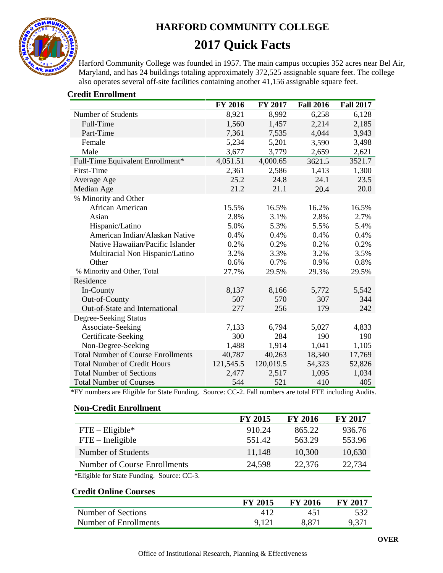

# **HARFORD COMMUNITY COLLEGE 2017 Quick Facts**

Harford Community College was founded in 1957. The main campus occupies 352 acres near Bel Air, Maryland, and has 24 buildings totaling approximately 372,525 assignable square feet. The college also operates several off-site facilities containing another 41,156 assignable square feet.

|                                           | FY 2016   | FY 2017   | <b>Fall 2016</b> | <b>Fall 2017</b> |
|-------------------------------------------|-----------|-----------|------------------|------------------|
| Number of Students                        | 8,921     | 8,992     | 6,258            | 6,128            |
| Full-Time                                 | 1,560     | 1,457     | 2,214            | 2,185            |
| Part-Time                                 | 7,361     | 7,535     | 4,044            | 3,943            |
| Female                                    | 5,234     | 5,201     | 3,590            | 3,498            |
| Male                                      | 3,677     | 3,779     | 2,659            | 2,621            |
| Full-Time Equivalent Enrollment*          | 4,051.51  | 4,000.65  | 3621.5           | 3521.7           |
| First-Time                                | 2,361     | 2,586     | 1,413            | 1,300            |
| Average Age                               | 25.2      | 24.8      | 24.1             | 23.5             |
| Median Age                                | 21.2      | 21.1      | 20.4             | 20.0             |
| % Minority and Other                      |           |           |                  |                  |
| African American                          | 15.5%     | 16.5%     | 16.2%            | 16.5%            |
| Asian                                     | 2.8%      | 3.1%      | 2.8%             | 2.7%             |
| Hispanic/Latino                           | 5.0%      | 5.3%      | 5.5%             | 5.4%             |
| American Indian/Alaskan Native            | 0.4%      | 0.4%      | 0.4%             | 0.4%             |
| Native Hawaiian/Pacific Islander          | 0.2%      | 0.2%      | 0.2%             | 0.2%             |
| Multiracial Non Hispanic/Latino           | 3.2%      | 3.3%      | 3.2%             | 3.5%             |
| Other                                     | 0.6%      | 0.7%      | 0.9%             | 0.8%             |
| % Minority and Other, Total               | 27.7%     | 29.5%     | 29.3%            | 29.5%            |
| Residence                                 |           |           |                  |                  |
| In-County                                 | 8,137     | 8,166     | 5,772            | 5,542            |
| Out-of-County                             | 507       | 570       | 307              | 344              |
| Out-of-State and International            | 277       | 256       | 179              | 242              |
| Degree-Seeking Status                     |           |           |                  |                  |
| Associate-Seeking                         | 7,133     | 6,794     | 5,027            | 4,833            |
| Certificate-Seeking                       | 300       | 284       | 190              | 190              |
| Non-Degree-Seeking                        | 1,488     | 1,914     | 1,041            | 1,105            |
| <b>Total Number of Course Enrollments</b> | 40,787    | 40,263    | 18,340           | 17,769           |
| <b>Total Number of Credit Hours</b>       | 121,545.5 | 120,019.5 | 54,323           | 52,826           |
| <b>Total Number of Sections</b>           | 2,477     | 2,517     | 1,095            | 1,034            |
| <b>Total Number of Courses</b>            | 544       | 521       | 410              | 405              |

# **Credit Enrollment**

\*FY numbers are Eligible for State Funding. Source: CC-2. Fall numbers are total FTE including Audits.

#### **Non-Credit Enrollment**

|                              | <b>FY 2015</b> | <b>FY 2016</b> | <b>FY 2017</b> |
|------------------------------|----------------|----------------|----------------|
| $FTE - Elizabeth$            | 910.24         | 865.22         | 936.76         |
| $FTE$ – Ineligible           | 551.42         | 563.29         | 553.96         |
| Number of Students           | 11,148         | 10,300         | 10,630         |
| Number of Course Enrollments | 24,598         | 22,376         | 22,734         |

\*Eligible for State Funding. Source: CC-3.

## **Credit Online Courses**

|                       | <b>FY 2015</b> | <b>FY 2016</b> | <b>FY 2017</b> |
|-----------------------|----------------|----------------|----------------|
| Number of Sections    |                | 45!            | 532            |
| Number of Enrollments | 9.121          | 8.871          | 9,371          |